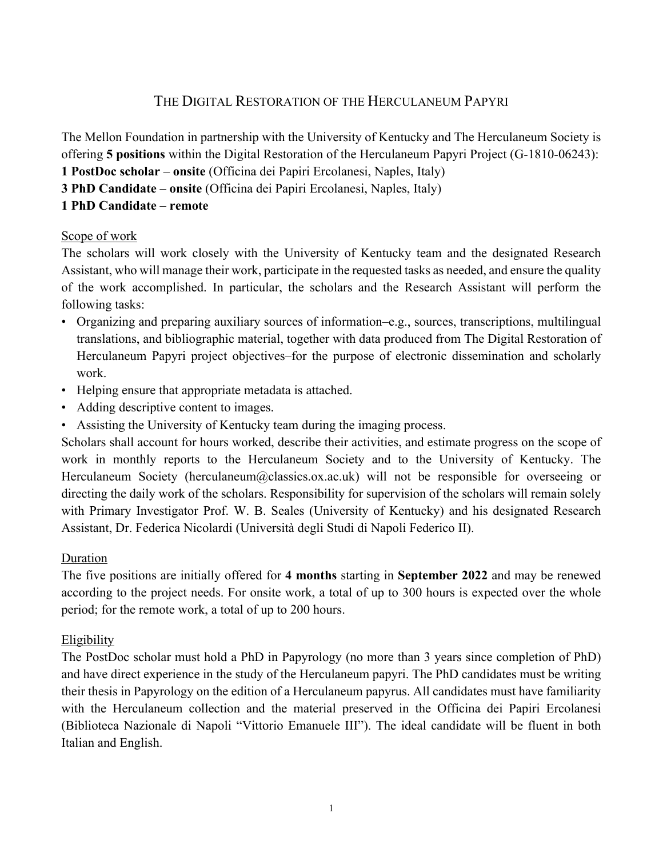# THE DIGITAL RESTORATION OF THE HERCULANEUM PAPYRI

The Mellon Foundation in partnership with the University of Kentucky and The Herculaneum Society is offering **5 positions** within the Digital Restoration of the Herculaneum Papyri Project (G-1810-06243): **1 PostDoc scholar** – **onsite** (Officina dei Papiri Ercolanesi, Naples, Italy) **3 PhD Candidate** – **onsite** (Officina dei Papiri Ercolanesi, Naples, Italy) **1 PhD Candidate** – **remote**

## Scope of work

The scholars will work closely with the University of Kentucky team and the designated Research Assistant, who will manage their work, participate in the requested tasks as needed, and ensure the quality of the work accomplished. In particular, the scholars and the Research Assistant will perform the following tasks:

- Organizing and preparing auxiliary sources of information–e.g., sources, transcriptions, multilingual translations, and bibliographic material, together with data produced from The Digital Restoration of Herculaneum Papyri project objectives–for the purpose of electronic dissemination and scholarly work.
- Helping ensure that appropriate metadata is attached.
- Adding descriptive content to images.
- Assisting the University of Kentucky team during the imaging process.

Scholars shall account for hours worked, describe their activities, and estimate progress on the scope of work in monthly reports to the Herculaneum Society and to the University of Kentucky. The Herculaneum Society (herculaneum@classics.ox.ac.uk) will not be responsible for overseeing or directing the daily work of the scholars. Responsibility for supervision of the scholars will remain solely with Primary Investigator Prof. W. B. Seales (University of Kentucky) and his designated Research Assistant, Dr. Federica Nicolardi (Università degli Studi di Napoli Federico II).

# Duration

The five positions are initially offered for **4 months** starting in **September 2022** and may be renewed according to the project needs. For onsite work, a total of up to 300 hours is expected over the whole period; for the remote work, a total of up to 200 hours.

# Eligibility

The PostDoc scholar must hold a PhD in Papyrology (no more than 3 years since completion of PhD) and have direct experience in the study of the Herculaneum papyri. The PhD candidates must be writing their thesis in Papyrology on the edition of a Herculaneum papyrus. All candidates must have familiarity with the Herculaneum collection and the material preserved in the Officina dei Papiri Ercolanesi (Biblioteca Nazionale di Napoli "Vittorio Emanuele III"). The ideal candidate will be fluent in both Italian and English.